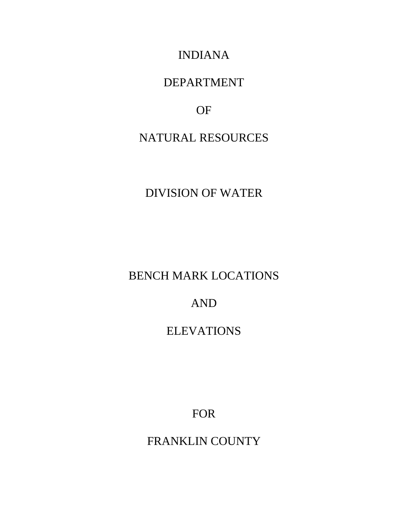INDIANA

## DEPARTMENT

## OF

# NATURAL RESOURCES

# DIVISION OF WATER

# BENCH MARK LOCATIONS

# AND

## ELEVATIONS

FOR

FRANKLIN COUNTY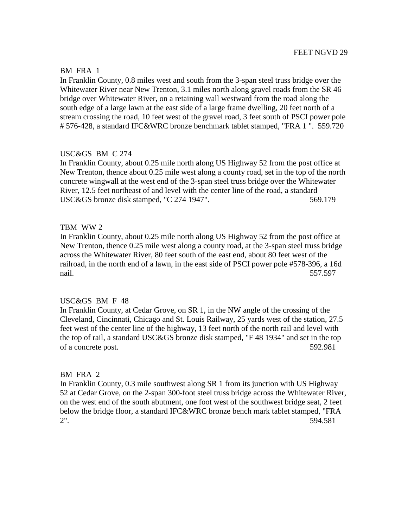#### BM FRA 1

In Franklin County, 0.8 miles west and south from the 3-span steel truss bridge over the Whitewater River near New Trenton, 3.1 miles north along gravel roads from the SR 46 bridge over Whitewater River, on a retaining wall westward from the road along the south edge of a large lawn at the east side of a large frame dwelling, 20 feet north of a stream crossing the road, 10 feet west of the gravel road, 3 feet south of PSCI power pole # 576-428, a standard IFC&WRC bronze benchmark tablet stamped, "FRA 1 ". 559.720

## USC&GS BM C 274

In Franklin County, about 0.25 mile north along US Highway 52 from the post office at New Trenton, thence about 0.25 mile west along a county road, set in the top of the north concrete wingwall at the west end of the 3-span steel truss bridge over the Whitewater River, 12.5 feet northeast of and level with the center line of the road, a standard USC&GS bronze disk stamped, "C 274 1947". 569.179

#### TBM WW 2

In Franklin County, about 0.25 mile north along US Highway 52 from the post office at New Trenton, thence 0.25 mile west along a county road, at the 3-span steel truss bridge across the Whitewater River, 80 feet south of the east end, about 80 feet west of the railroad, in the north end of a lawn, in the east side of PSCI power pole #578-396, a 16d nail. 557.597

#### USC&GS BM F 48

In Franklin County, at Cedar Grove, on SR 1, in the NW angle of the crossing of the Cleveland, Cincinnati, Chicago and St. Louis Railway, 25 yards west of the station, 27.5 feet west of the center line of the highway, 13 feet north of the north rail and level with the top of rail, a standard USC&GS bronze disk stamped, "F 48 1934" and set in the top of a concrete post. 592.981

#### BM FRA 2

In Franklin County, 0.3 mile southwest along SR 1 from its junction with US Highway 52 at Cedar Grove, on the 2-span 300-foot steel truss bridge across the Whitewater River, on the west end of the south abutment, one foot west of the southwest bridge seat, 2 feet below the bridge floor, a standard IFC&WRC bronze bench mark tablet stamped, "FRA 2". 594.581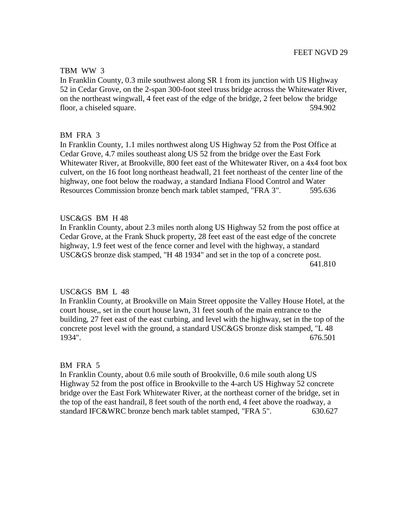## TBM WW 3

In Franklin County, 0.3 mile southwest along SR 1 from its junction with US Highway 52 in Cedar Grove, on the 2-span 300-foot steel truss bridge across the Whitewater River, on the northeast wingwall, 4 feet east of the edge of the bridge, 2 feet below the bridge floor, a chiseled square. 594.902

## BM FRA 3

In Franklin County, 1.1 miles northwest along US Highway 52 from the Post Office at Cedar Grove, 4.7 miles southeast along US 52 from the bridge over the East Fork Whitewater River, at Brookville, 800 feet east of the Whitewater River, on a 4x4 foot box culvert, on the 16 foot long northeast headwall, 21 feet northeast of the center line of the highway, one foot below the roadway, a standard Indiana Flood Control and Water Resources Commission bronze bench mark tablet stamped, "FRA 3". 595.636

## USC&GS BM H 48

In Franklin County, about 2.3 miles north along US Highway 52 from the post office at Cedar Grove, at the Frank Shuck property, 28 feet east of the east edge of the concrete highway, 1.9 feet west of the fence corner and level with the highway, a standard USC&GS bronze disk stamped, "H 48 1934" and set in the top of a concrete post. 641.810

## USC&GS BM L 48

In Franklin County, at Brookville on Main Street opposite the Valley House Hotel, at the court house,, set in the court house lawn, 31 feet south of the main entrance to the building, 27 feet east of the east curbing, and level with the highway, set in the top of the concrete post level with the ground, a standard USC&GS bronze disk stamped, "L 48 1934". 676.501

#### BM FRA 5

In Franklin County, about 0.6 mile south of Brookville, 0.6 mile south along US Highway 52 from the post office in Brookville to the 4-arch US Highway 52 concrete bridge over the East Fork Whitewater River, at the northeast corner of the bridge, set in the top of the east handrail, 8 feet south of the north end, 4 feet above the roadway, a standard IFC&WRC bronze bench mark tablet stamped, "FRA 5". 630.627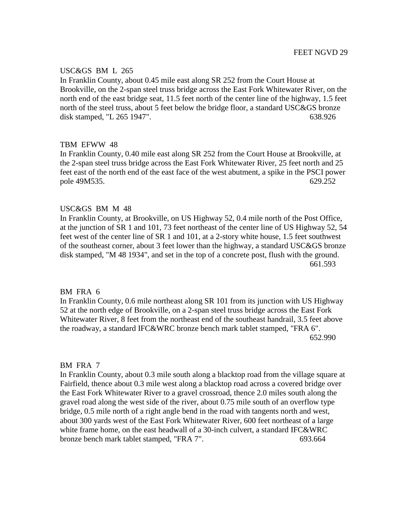## USC&GS BM L 265

In Franklin County, about 0.45 mile east along SR 252 from the Court House at Brookville, on the 2-span steel truss bridge across the East Fork Whitewater River, on the north end of the east bridge seat, 11.5 feet north of the center line of the highway, 1.5 feet north of the steel truss, about 5 feet below the bridge floor, a standard USC&GS bronze disk stamped, "L 265 1947". 638.926

## TBM EFWW 48

In Franklin County, 0.40 mile east along SR 252 from the Court House at Brookville, at the 2-span steel truss bridge across the East Fork Whitewater River, 25 feet north and 25 feet east of the north end of the east face of the west abutment, a spike in the PSCI power pole 49M535. 629.252

## USC&GS BM M 48

In Franklin County, at Brookville, on US Highway 52, 0.4 mile north of the Post Office, at the junction of SR 1 and 101, 73 feet northeast of the center line of US Highway 52, 54 feet west of the center line of SR 1 and 101, at a 2-story white house, 1.5 feet southwest of the southeast corner, about 3 feet lower than the highway, a standard USC&GS bronze disk stamped, "M 48 1934", and set in the top of a concrete post, flush with the ground. 661.593

#### BM FRA 6

In Franklin County, 0.6 mile northeast along SR 101 from its junction with US Highway 52 at the north edge of Brookville, on a 2-span steel truss bridge across the East Fork Whitewater River, 8 feet from the northeast end of the southeast handrail, 3.5 feet above the roadway, a standard IFC&WRC bronze bench mark tablet stamped, "FRA 6". 652.990

#### BM FRA 7

In Franklin County, about 0.3 mile south along a blacktop road from the village square at Fairfield, thence about 0.3 mile west along a blacktop road across a covered bridge over the East Fork Whitewater River to a gravel crossroad, thence 2.0 miles south along the gravel road along the west side of the river, about 0.75 mile south of an overflow type bridge, 0.5 mile north of a right angle bend in the road with tangents north and west, about 300 yards west of the East Fork Whitewater River, 600 feet northeast of a large white frame home, on the east headwall of a 30-inch culvert, a standard IFC&WRC bronze bench mark tablet stamped, "FRA 7". 693.664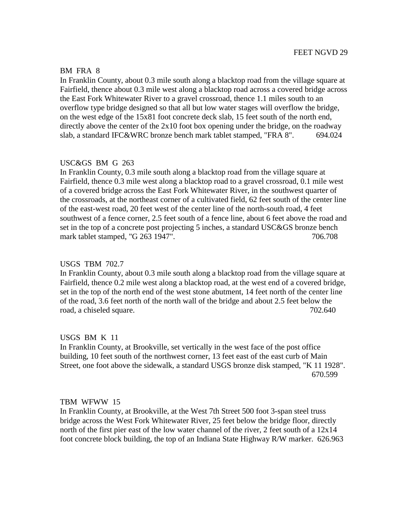#### BM FRA 8

In Franklin County, about 0.3 mile south along a blacktop road from the village square at Fairfield, thence about 0.3 mile west along a blacktop road across a covered bridge across the East Fork Whitewater River to a gravel crossroad, thence 1.1 miles south to an overflow type bridge designed so that all but low water stages will overflow the bridge, on the west edge of the 15x81 foot concrete deck slab, 15 feet south of the north end, directly above the center of the  $2x10$  foot box opening under the bridge, on the roadway slab, a standard IFC&WRC bronze bench mark tablet stamped, "FRA 8". 694.024

## USC&GS BM G 263

In Franklin County, 0.3 mile south along a blacktop road from the village square at Fairfield, thence 0.3 mile west along a blacktop road to a gravel crossroad, 0.1 mile west of a covered bridge across the East Fork Whitewater River, in the southwest quarter of the crossroads, at the northeast corner of a cultivated field, 62 feet south of the center line of the east-west road, 20 feet west of the center line of the north-south road, 4 feet southwest of a fence corner, 2.5 feet south of a fence line, about 6 feet above the road and set in the top of a concrete post projecting 5 inches, a standard USC&GS bronze bench mark tablet stamped, "G 263 1947". 706.708

#### USGS TBM 702.7

In Franklin County, about 0.3 mile south along a blacktop road from the village square at Fairfield, thence 0.2 mile west along a blacktop road, at the west end of a covered bridge, set in the top of the north end of the west stone abutment, 14 feet north of the center line of the road, 3.6 feet north of the north wall of the bridge and about 2.5 feet below the road, a chiseled square. 702.640

#### USGS BM K 11

In Franklin County, at Brookville, set vertically in the west face of the post office building, 10 feet south of the northwest corner, 13 feet east of the east curb of Main Street, one foot above the sidewalk, a standard USGS bronze disk stamped, "K 11 1928". 670.599

## TBM WFWW 15

In Franklin County, at Brookville, at the West 7th Street 500 foot 3-span steel truss bridge across the West Fork Whitewater River, 25 feet below the bridge floor, directly north of the first pier east of the low water channel of the river, 2 feet south of a 12x14 foot concrete block building, the top of an Indiana State Highway R/W marker. 626.963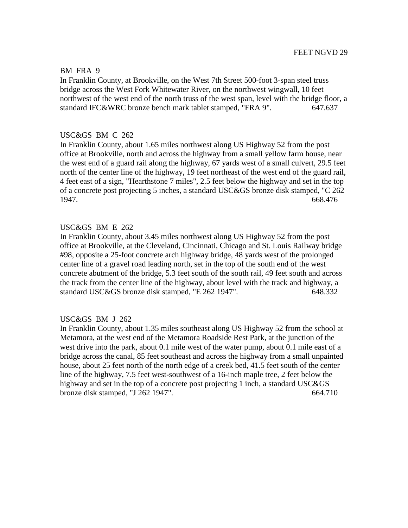#### BM FRA 9

In Franklin County, at Brookville, on the West 7th Street 500-foot 3-span steel truss bridge across the West Fork Whitewater River, on the northwest wingwall, 10 feet northwest of the west end of the north truss of the west span, level with the bridge floor, a standard IFC&WRC bronze bench mark tablet stamped, "FRA 9". 647.637

#### USC&GS BM C 262

In Franklin County, about 1.65 miles northwest along US Highway 52 from the post office at Brookville, north and across the highway from a small yellow farm house, near the west end of a guard rail along the highway, 67 yards west of a small culvert, 29.5 feet north of the center line of the highway, 19 feet northeast of the west end of the guard rail, 4 feet east of a sign, "Hearthstone 7 miles", 2.5 feet below the highway and set in the top of a concrete post projecting 5 inches, a standard USC&GS bronze disk stamped, "C 262 1947. 668.476

#### USC&GS BM E 262

In Franklin County, about 3.45 miles northwest along US Highway 52 from the post office at Brookville, at the Cleveland, Cincinnati, Chicago and St. Louis Railway bridge #98, opposite a 25-foot concrete arch highway bridge, 48 yards west of the prolonged center line of a gravel road leading north, set in the top of the south end of the west concrete abutment of the bridge, 5.3 feet south of the south rail, 49 feet south and across the track from the center line of the highway, about level with the track and highway, a standard USC&GS bronze disk stamped, "E 262 1947". 648.332

#### USC&GS BM J 262

In Franklin County, about 1.35 miles southeast along US Highway 52 from the school at Metamora, at the west end of the Metamora Roadside Rest Park, at the junction of the west drive into the park, about 0.1 mile west of the water pump, about 0.1 mile east of a bridge across the canal, 85 feet southeast and across the highway from a small unpainted house, about 25 feet north of the north edge of a creek bed, 41.5 feet south of the center line of the highway, 7.5 feet west-southwest of a 16-inch maple tree, 2 feet below the highway and set in the top of a concrete post projecting 1 inch, a standard USC&GS bronze disk stamped, "J 262 1947". 664.710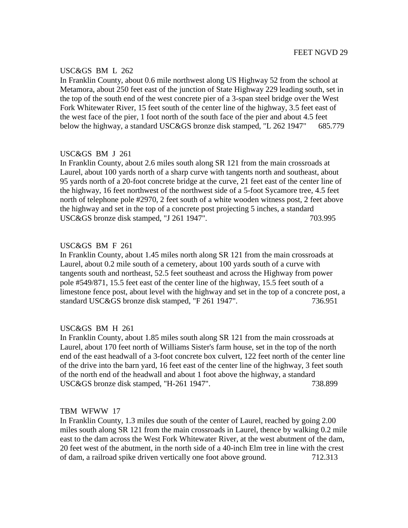## USC&GS BM L 262

In Franklin County, about 0.6 mile northwest along US Highway 52 from the school at Metamora, about 250 feet east of the junction of State Highway 229 leading south, set in the top of the south end of the west concrete pier of a 3-span steel bridge over the West Fork Whitewater River, 15 feet south of the center line of the highway, 3.5 feet east of the west face of the pier, 1 foot north of the south face of the pier and about 4.5 feet below the highway, a standard USC&GS bronze disk stamped, "L 262 1947" 685.779

## USC&GS BM J 261

In Franklin County, about 2.6 miles south along SR 121 from the main crossroads at Laurel, about 100 yards north of a sharp curve with tangents north and southeast, about 95 yards north of a 20-foot concrete bridge at the curve, 21 feet east of the center line of the highway, 16 feet northwest of the northwest side of a 5-foot Sycamore tree, 4.5 feet north of telephone pole #2970, 2 feet south of a white wooden witness post, 2 feet above the highway and set in the top of a concrete post projecting 5 inches, a standard USC&GS bronze disk stamped, "J 261 1947". 703.995

## USC&GS BM F 261

In Franklin County, about 1.45 miles north along SR 121 from the main crossroads at Laurel, about 0.2 mile south of a cemetery, about 100 yards south of a curve with tangents south and northeast, 52.5 feet southeast and across the Highway from power pole #549/871, 15.5 feet east of the center line of the highway, 15.5 feet south of a limestone fence post, about level with the highway and set in the top of a concrete post, a standard USC&GS bronze disk stamped, "F 261 1947". 736.951

## USC&GS BM H 261

In Franklin County, about 1.85 miles south along SR 121 from the main crossroads at Laurel, about 170 feet north of Williams Sister's farm house, set in the top of the north end of the east headwall of a 3-foot concrete box culvert, 122 feet north of the center line of the drive into the barn yard, 16 feet east of the center line of the highway, 3 feet south of the north end of the headwall and about 1 foot above the highway, a standard USC&GS bronze disk stamped, "H-261 1947". 738.899

#### TBM WFWW 17

In Franklin County, 1.3 miles due south of the center of Laurel, reached by going 2.00 miles south along SR 121 from the main crossroads in Laurel, thence by walking 0.2 mile east to the dam across the West Fork Whitewater River, at the west abutment of the dam, 20 feet west of the abutment, in the north side of a 40-inch Elm tree in line with the crest of dam, a railroad spike driven vertically one foot above ground. 712.313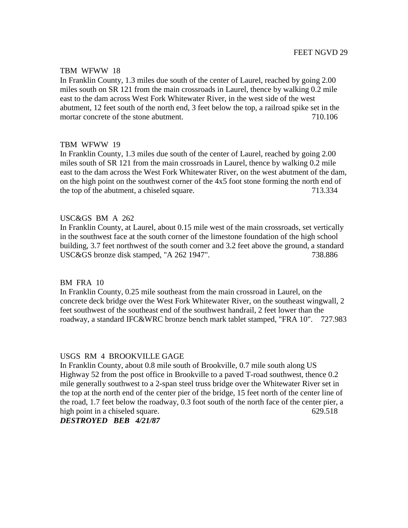#### TBM WFWW 18

In Franklin County, 1.3 miles due south of the center of Laurel, reached by going 2.00 miles south on SR 121 from the main crossroads in Laurel, thence by walking 0.2 mile east to the dam across West Fork Whitewater River, in the west side of the west abutment, 12 feet south of the north end, 3 feet below the top, a railroad spike set in the mortar concrete of the stone abutment. The matrix of the stone abutment. The matrix of the stone abutment.

## TBM WFWW 19

In Franklin County, 1.3 miles due south of the center of Laurel, reached by going 2.00 miles south of SR 121 from the main crossroads in Laurel, thence by walking 0.2 mile east to the dam across the West Fork Whitewater River, on the west abutment of the dam, on the high point on the southwest corner of the 4x5 foot stone forming the north end of the top of the abutment, a chiseled square. 713.334

## USC&GS BM A 262

In Franklin County, at Laurel, about 0.15 mile west of the main crossroads, set vertically in the southwest face at the south corner of the limestone foundation of the high school building, 3.7 feet northwest of the south corner and 3.2 feet above the ground, a standard USC&GS bronze disk stamped, "A 262 1947". 738.886

## BM FRA 10

In Franklin County, 0.25 mile southeast from the main crossroad in Laurel, on the concrete deck bridge over the West Fork Whitewater River, on the southeast wingwall, 2 feet southwest of the southeast end of the southwest handrail, 2 feet lower than the roadway, a standard IFC&WRC bronze bench mark tablet stamped, "FRA 10". 727.983

## USGS RM 4 BROOKVILLE GAGE

In Franklin County, about 0.8 mile south of Brookville, 0.7 mile south along US Highway 52 from the post office in Brookville to a paved T-road southwest, thence 0.2 mile generally southwest to a 2-span steel truss bridge over the Whitewater River set in the top at the north end of the center pier of the bridge, 15 feet north of the center line of the road, 1.7 feet below the roadway, 0.3 foot south of the north face of the center pier, a high point in a chiseled square. 629.518

## *DESTROYED BEB 4/21/87*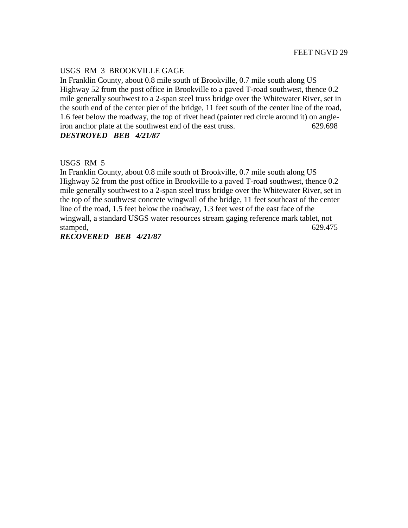## USGS RM 3 BROOKVILLE GAGE

In Franklin County, about 0.8 mile south of Brookville, 0.7 mile south along US Highway 52 from the post office in Brookville to a paved T-road southwest, thence 0.2 mile generally southwest to a 2-span steel truss bridge over the Whitewater River, set in the south end of the center pier of the bridge, 11 feet south of the center line of the road, 1.6 feet below the roadway, the top of rivet head (painter red circle around it) on angleiron anchor plate at the southwest end of the east truss. 629.698 *DESTROYED BEB 4/21/87*

USGS RM 5

In Franklin County, about 0.8 mile south of Brookville, 0.7 mile south along US Highway 52 from the post office in Brookville to a paved T-road southwest, thence 0.2 mile generally southwest to a 2-span steel truss bridge over the Whitewater River, set in the top of the southwest concrete wingwall of the bridge, 11 feet southeast of the center line of the road, 1.5 feet below the roadway, 1.3 feet west of the east face of the wingwall, a standard USGS water resources stream gaging reference mark tablet, not stamped, 629.475

*RECOVERED BEB 4/21/87*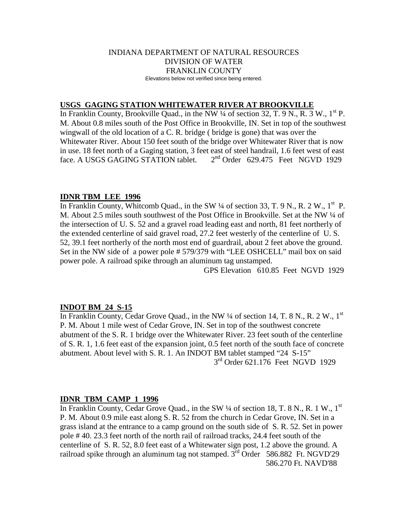#### INDIANA DEPARTMENT OF NATURAL RESOURCES DIVISION OF WATER FRANKLIN COUNTY Elevations below not verified since being entered.

## **USGS GAGING STATION WHITEWATER RIVER AT BROOKVILLE**

In Franklin County, Brookville Quad., in the NW  $\frac{1}{4}$  of section 32, T. 9 N., R. 3 W., 1<sup>st</sup> P. M. About 0.8 miles south of the Post Office in Brookville, IN. Set in top of the southwest wingwall of the old location of a C. R. bridge ( bridge is gone) that was over the Whitewater River. About 150 feet south of the bridge over Whitewater River that is now in use. 18 feet north of a Gaging station, 3 feet east of steel handrail, 1.6 feet west of east face. A USGS GAGING STATION tablet.  $2<sup>nd</sup>$  Order 629.475 Feet NGVD 1929

#### **IDNR TBM LEE 1996**

In Franklin County, Whitcomb Quad., in the SW  $\frac{1}{4}$  of section 33, T. 9 N., R. 2 W., 1<sup>st</sup> P. M. About 2.5 miles south southwest of the Post Office in Brookville. Set at the NW  $\frac{1}{4}$  of the intersection of U. S. 52 and a gravel road leading east and north, 81 feet northerly of the extended centerline of said gravel road, 27.2 feet westerly of the centerline of U. S. 52, 39.1 feet northerly of the north most end of guardrail, about 2 feet above the ground. Set in the NW side of a power pole # 579/379 with "LEE OSHCELL" mail box on said power pole. A railroad spike through an aluminum tag unstamped.

GPS Elevation 610.85 Feet NGVD 1929

#### **INDOT BM 24 S-15**

In Franklin County, Cedar Grove Quad., in the NW  $\frac{1}{4}$  of section 14, T. 8 N., R. 2 W., 1<sup>st</sup> P. M. About 1 mile west of Cedar Grove, IN. Set in top of the southwest concrete abutment of the S. R. 1 bridge over the Whitewater River. 23 feet south of the centerline of S. R. 1, 1.6 feet east of the expansion joint, 0.5 feet north of the south face of concrete abutment. About level with S. R. 1. An INDOT BM tablet stamped "24 S-15" 3<sup>rd</sup> Order 621.176 Feet NGVD 1929

#### **IDNR TBM CAMP 1 1996**

In Franklin County, Cedar Grove Quad., in the SW  $\frac{1}{4}$  of section 18, T. 8 N., R. 1 W., 1<sup>st</sup> P. M. About 0.9 mile east along S. R. 52 from the church in Cedar Grove, IN. Set in a grass island at the entrance to a camp ground on the south side of S. R. 52. Set in power pole # 40. 23.3 feet north of the north rail of railroad tracks, 24.4 feet south of the centerline of S. R. 52, 8.0 feet east of a Whitewater sign post, 1.2 above the ground. A railroad spike through an aluminum tag not stamped.  $3<sup>rd</sup>$  Order 586.882 Ft. NGVD'29 586.270 Ft. NAVD'88